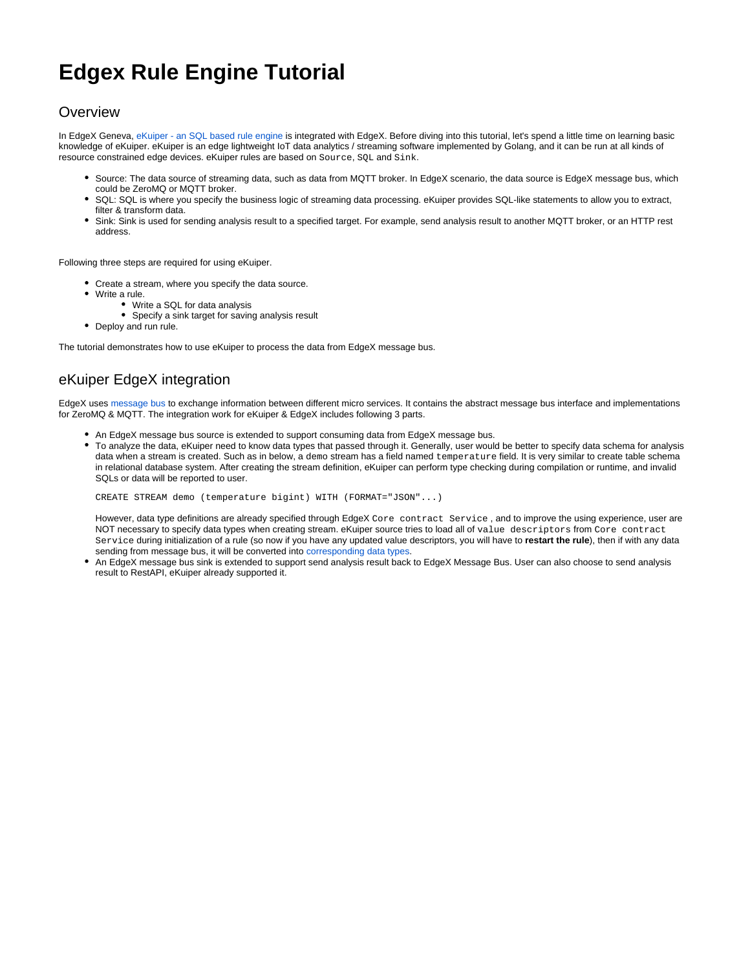# **Edgex Rule Engine Tutorial**

### **Overview**

In EdgeX Geneva, [eKuiper - an SQL based rule engine](https://github.com/lf-edge/ekuiper) is integrated with EdgeX. Before diving into this tutorial, let's spend a little time on learning basic knowledge of eKuiper. eKuiper is an edge lightweight IoT data analytics / streaming software implemented by Golang, and it can be run at all kinds of resource constrained edge devices. eKuiper rules are based on Source, SQL and Sink.

- Source: The data source of streaming data, such as data from MQTT broker. In EdgeX scenario, the data source is EdgeX message bus, which could be ZeroMQ or MQTT broker.
- SQL: SQL is where you specify the business logic of streaming data processing. eKuiper provides SQL-like statements to allow you to extract, filter & transform data.
- Sink: Sink is used for sending analysis result to a specified target. For example, send analysis result to another MQTT broker, or an HTTP rest address.

Following three steps are required for using eKuiper.

- Create a stream, where you specify the data source.
- Write a rule.
	- Write a SQL for data analysis
	- Specify a sink target for saving analysis result
- Deploy and run rule.

The tutorial demonstrates how to use eKuiper to process the data from EdgeX message bus.

## eKuiper EdgeX integration

EdgeX uses [message bus](https://github.com/edgexfoundry/go-mod-messaging) to exchange information between different micro services. It contains the abstract message bus interface and implementations for ZeroMQ & MQTT. The integration work for eKuiper & EdgeX includes following 3 parts.

- An EdgeX message bus source is extended to support consuming data from EdgeX message bus.
- To analyze the data, eKuiper need to know data types that passed through it. Generally, user would be better to specify data schema for analysis data when a stream is created. Such as in below, a demo stream has a field named temperature field. It is very similar to create table schema in relational database system. After creating the stream definition, eKuiper can perform type checking during compilation or runtime, and invalid SQLs or data will be reported to user.

CREATE STREAM demo (temperature bigint) WITH (FORMAT="JSON"...)

However, data type definitions are already specified through EdgeX Core contract Service , and to improve the using experience, user are NOT necessary to specify data types when creating stream. eKuiper source tries to load all of value descriptors from Core contract Service during initialization of a rule (so now if you have any updated value descriptors, you will have to **restart the rule**), then if with any data sending from message bus, it will be converted into [corresponding data types](https://github.com/lf-edge/ekuiper/blob/master/docs/en_US/rules/sources/edgex.md).

An EdgeX message bus sink is extended to support send analysis result back to EdgeX Message Bus. User can also choose to send analysis result to RestAPI, eKuiper already supported it.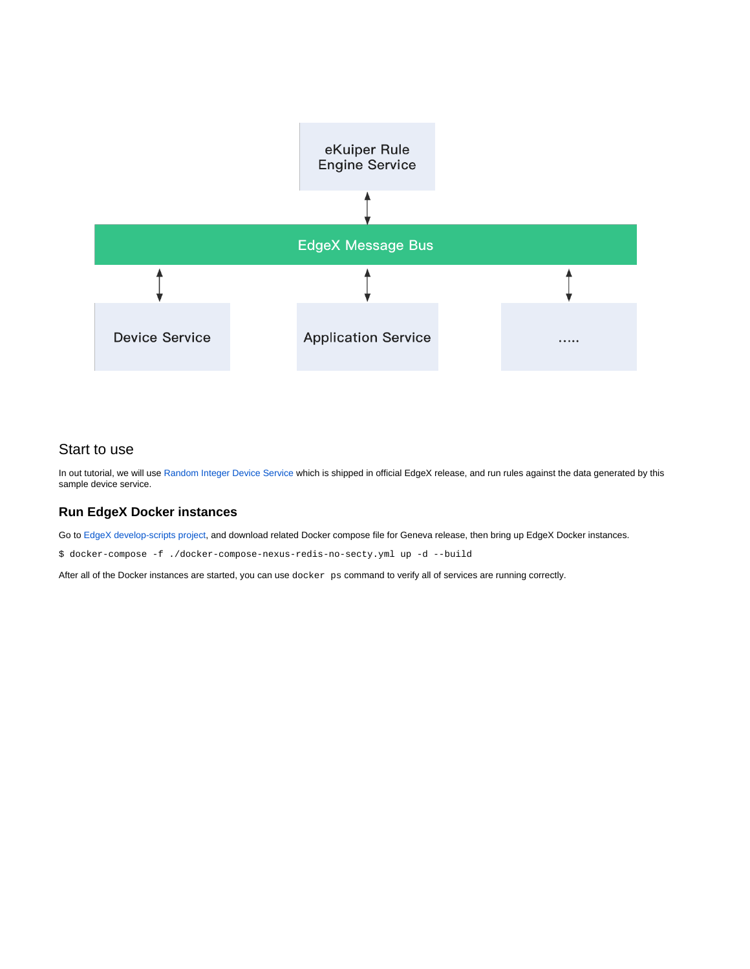

### Start to use

In out tutorial, we will use [Random Integer Device Service](https://github.com/edgexfoundry/device-random) which is shipped in official EdgeX release, and run rules against the data generated by this sample device service.

### **Run EdgeX Docker instances**

Go to [EdgeX develop-scripts project](https://github.com/edgexfoundry/developer-scripts/tree/master/releases), and download related Docker compose file for Geneva release, then bring up EdgeX Docker instances.

\$ docker-compose -f ./docker-compose-nexus-redis-no-secty.yml up -d --build

After all of the Docker instances are started, you can use docker ps command to verify all of services are running correctly.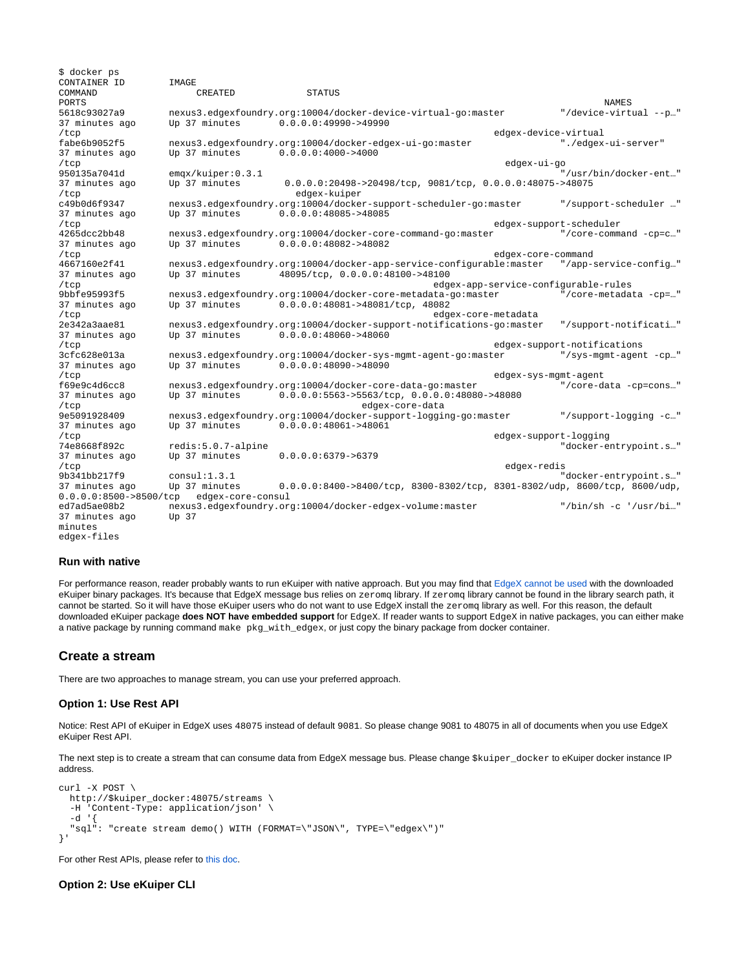\$ docker ps CONTAINER ID **IMAGE**<br>COMMAND CREATED COMMAND CREATED STATUS PORTS NAMES 5618c93027a9 nexus3.edgexfoundry.org:10004/docker-device-virtual-go:master "/device-virtual --p..."<br>37 minutes ago Up 37 minutes 0.0.0.0:49990->49990 37 minutes ago Up 37 minutes 0.0.0.0:49990->49990 edgex-device-virtual<br>fabe6b9052f5 nexus3.edgexfoundry.org:10004/docker-edgex-ui-go:master "./edgex nexus3.edgexfoundry.org:10004/docker-edgex-ui-go:master "./edgex-ui-server"<br>Up 37 minutes 0.0.0.0:4000->4000 37 minutes ago Up 37 minutes 0.0.0.0:4000->4000 /tcp edgex-ui-go 950135a7041d emqx/kuiper:0.3.1 "/usr/bin/docker-ent…" 37 minutes ago Up 37 minutes 0.0.0.0:20498->20498/tcp, 9081/tcp, 0.0.0.0:48075->48075<br>
deta-kuiper /tcp edgex-kuiper c49b0d6f9347 nexus3.edgexfoundry.org:10004/docker-support-scheduler-go:master "/support-scheduler …"  $0.\overline{0}.0.0.0:48085 - >48085$ /tcp edgex-support-scheduler nexus3.edgexfoundry.org:10004/docker-core-command-go:master 37 minutes ago Up 37 minutes 0.0.0.0:48082->48082 dgex-core-command=/<br>+667160e2f41 nexus3.edgexfoundry.org:10004/docker-app-service-configurable:master="/app-4667160e2f41 nexus3.edgexfoundry.org:10004/docker-app-service-configurable:master "/app-service-config…" 37 minutes ago Up 37 minutes 48095/tcp, 0.0.0.0:48100->48100 /tcp edgex-app-service-configurable-rules 9bbfe95993f5 nexus3.edgexfoundry.org:10004/docker-core-metadata-go:master "/core-metadata -cp=…" 37 minutes ago Up 37 minutes 0.0.0.0:48081->48081/tcp, 48082 /tcp edgex-core-metadata 2e342a3aae81 nexus3.edgexfoundry.org:10004/docker-support-notifications-go:master "/support-notificati…"  $0.0.0.0:48060 - > 48060$ /tcp edgex-support-notifications 3cfc628e013a nexus3.edgexfoundry.org:10004/docker-sys-mgmt-agent-go:master<br>37 minutes ago Up 37 minutes 0.0.0.0:48090->48090 37 minutes ago Up 37 minutes 0.0.0.0:48090->48090 /tcp edgex-sys-mgmt-agent nexus3.edgexfoundry.org:10004/docker-core-data-go:master 37 minutes ago Up 37 minutes  $0.\overline{0.0.0.0}:5563->5563/$ tcp,  $0.\overline{0.0.0:48080->48080}$ <br>/tcp edgex-core-data /tcp edgex-core-data 9e5091928409 nexus3.edgexfoundry.org:10004/docker-support-logging-go:master "/support-logging -c.."<br>37 minutes ago Up 37 minutes 0.0.0.0:48061->48061 37 minutes ago Up 37 minutes 0.0.0.0:48061->48061 /tcp edgex-support-logging 74e8668f892c redis:5.0.7-alpine 74e8668f892c redis:5.0.7-alpine 1.0.0.0.05379->6379 Up 37 minutes /tcp edgex-redis 9b341bb217f9 consul:1.3.1 "docker-entrypoint.s…" 37 minutes ago Up 37 minutes 0.0.0.0:8400->8400/tcp, 8300-8302/tcp, 8301-8302/udp, 8600/tcp, 8600/udp, 0.0.0.0:8500->8500/tcp edgex-core-consul<br>ed7ad5ae08b2 nexus3.edgexfoundry.org nexus3.edgexfoundry.org:10004/docker-edgex-volume:master "/bin/sh -c '/usr/bi..."<br>Up 37 37 minutes ago minutes edgex-files

#### **Run with native**

For performance reason, reader probably wants to run eKuiper with native approach. But you may find that [EdgeX cannot be used](https://github.com/emqx/kuiper/issues/596) with the downloaded eKuiper binary packages. It's because that EdgeX message bus relies on zeromg library. If zeromg library cannot be found in the library search path, it cannot be started. So it will have those eKuiper users who do not want to use EdgeX install the zeromq library as well. For this reason, the default downloaded eKuiper package **does NOT have embedded support** for EdgeX. If reader wants to support EdgeX in native packages, you can either make a native package by running command make pkg\_with\_edgex, or just copy the binary package from docker container.

#### **Create a stream**

There are two approaches to manage stream, you can use your preferred approach.

#### **Option 1: Use Rest API**

Notice: Rest API of eKuiper in EdgeX uses 48075 instead of default 9081. So please change 9081 to 48075 in all of documents when you use EdgeX eKuiper Rest API.

The next step is to create a stream that can consume data from EdgeX message bus. Please change \$kuiper\_docker to eKuiper docker instance IP address.

```
curl -X POST \
  http://$kuiper_docker:48075/streams \<br>-H 'Content-Type: application/ison' \
       'Content-Type: application/json' \
  -d '\overline{f} "sql": "create stream demo() WITH (FORMAT=\"JSON\", TYPE=\"edgex\")"
}'
```
For other Rest APIs, please refer to [this doc.](https://github.com/lf-edge/ekuiper/blob/master/docs/en_US/restapi/overview.md)

#### **Option 2: Use eKuiper CLI**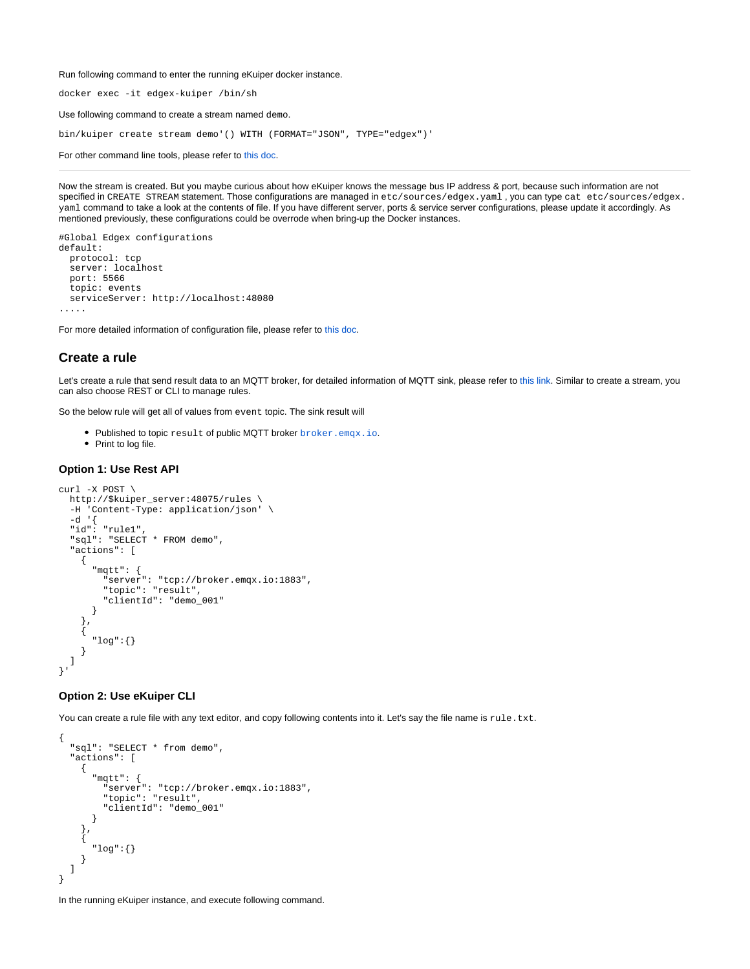Run following command to enter the running eKuiper docker instance.

docker exec -it edgex-kuiper /bin/sh

Use following command to create a stream named demo.

bin/kuiper create stream demo'() WITH (FORMAT="JSON", TYPE="edgex")'

For other command line tools, please refer to [this doc](https://github.com/lf-edge/ekuiper/blob/master/docs/en_US/cli/overview.md).

Now the stream is created. But you maybe curious about how eKuiper knows the message bus IP address & port, because such information are not specified in CREATE STREAM statement. Those configurations are managed in etc/sources/edgex.yaml , you can type cat etc/sources/edgex. yaml command to take a look at the contents of file. If you have different server, ports & service server configurations, please update it accordingly. As mentioned previously, these configurations could be overrode when bring-up the Docker instances.

```
#Global Edgex configurations
default:
  protocol: tcp
   server: localhost
  port: 5566
   topic: events
   serviceServer: http://localhost:48080
.....
```
For more detailed information of configuration file, please refer to [this doc](https://github.com/lf-edge/ekuiper/blob/master/docs/en_US/rules/sources/edgex.md).

#### **Create a rule**

Let's create a rule that send result data to an MQTT broker, for detailed information of MQTT sink, please refer to [this link.](https://github.com/lf-edge/ekuiper/blob/master/docs/en_US/rules/sinks/mqtt.md) Similar to create a stream, you can also choose REST or CLI to manage rules.

So the below rule will get all of values from event topic. The sink result will

- Published to topic result of public MQTT broker [broker.emqx.io](http://broker.emqx.io).
- Print to log file.

#### **Option 1: Use Rest API**

```
curl -X POST \
   http://$kuiper_server:48075/rules \
   -H 'Content-Type: application/json' \
   -d '{
   "id": "rule1",
   "sql": "SELECT * FROM demo",
   "actions": [
     {
       "mqtt": {
          "server": "tcp://broker.emqx.io:1883",
          "topic": "result",
          "clientId": "demo_001"
       }
     },
\{ \{ \} "log":{}
     }
   ]
}'
```
#### **Option 2: Use eKuiper CLI**

You can create a rule file with any text editor, and copy following contents into it. Let's say the file name is  $rule.txt.$ 

```
{
   "sql": "SELECT * from demo",
   "actions": [
     {
       "mqtt": {
          "server": "tcp://broker.emqx.io:1883",
          "topic": "result",
          "clientId": "demo_001"
       }
     },
     {
        "log":{}
     }
   ]
}
```
In the running eKuiper instance, and execute following command.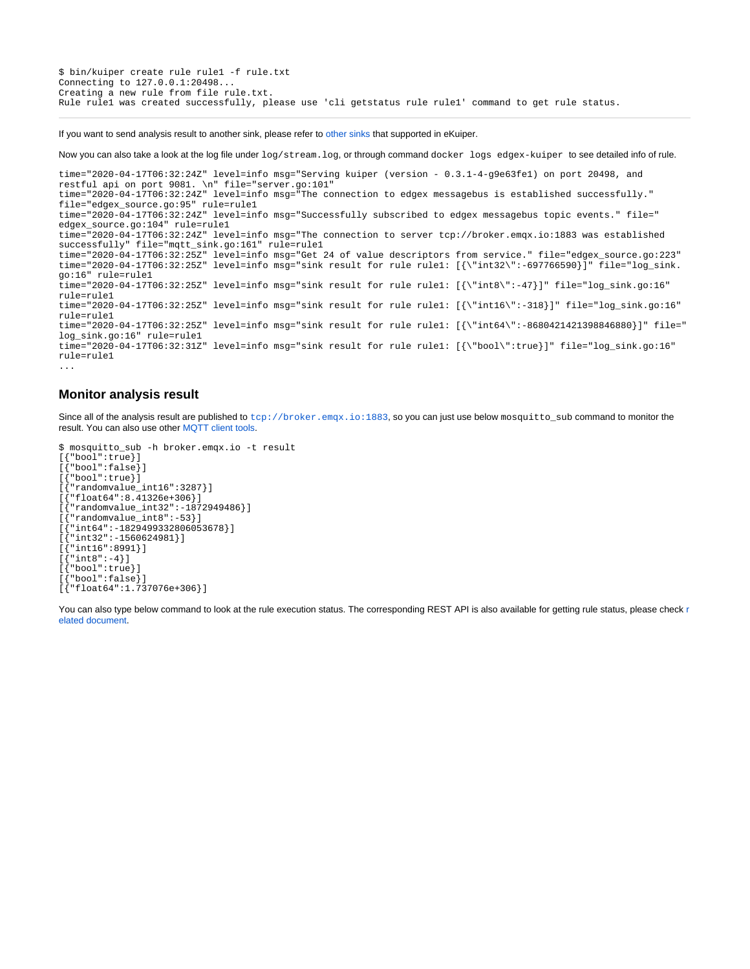\$ bin/kuiper create rule rule1 -f rule.txt Connecting to 127.0.0.1:20498... Creating a new rule from file rule.txt. Rule rule1 was created successfully, please use 'cli getstatus rule rule1' command to get rule status.

If you want to send analysis result to another sink, please refer to [other sinks](https://github.com/lf-edge/ekuiper/blob/master/docs/en_US/rules/overview.md#actions) that supported in eKuiper.

Now you can also take a look at the log file under  $log/stream$ . log, or through command docker logs edgex-kuiper to see detailed info of rule.

time="2020-04-17T06:32:24Z" level=info msg="Serving kuiper (version - 0.3.1-4-g9e63fe1) on port 20498, and restful api on port 9081. \n" file="server.go:101" time="2020-04-17T06:32:24Z" level=info msg="The connection to edgex messagebus is established successfully." file="edgex\_source.go:95" rule=rule1 time="2020-04-17T06:32:24Z" level=info msg="Successfully subscribed to edgex messagebus topic events." file=" edgex\_source.go:104" rule=rule1 time="2020-04-17T06:32:24Z" level=info msg="The connection to server tcp://broker.emqx.io:1883 was established successfully" file="mqtt\_sink.go:161" rule=rule1 time="2020-04-17T06:32:25Z" level=info msg="Get 24 of value descriptors from service." file="edgex\_source.go:223" time="2020-04-17T06:32:25Z" level=info msg="sink result for rule rule1: [{\"int32\":-697766590}]" file="log\_sink. go:16" rule=rule1 time="2020-04-17T06:32:25Z" level=info msg="sink result for rule rule1: [{\"int8\":-47}]" file="log\_sink.go:16" rule=rule1 time="2020-04-17T06:32:25Z" level=info msg="sink result for rule rule1: [{\"int16\":-318}]" file="log\_sink.go:16" rule=rule1 time="2020-04-17T06:32:25Z" level=info msg="sink result for rule rule1: [{\"int64\":-8680421421398846880}]" file=" log\_sink.go:16" rule=rule1 time="2020-04-17T06:32:31Z" level=info msg="sink result for rule rule1: [{\"bool\":true}]" file="log\_sink.go:16" rule=rule1 ...

### **Monitor analysis result**

Since all of the analysis result are published to <tcp://broker.emqx.io:1883>, so you can just use below mosquitto\_sub command to monitor the result. You can also use other [MQTT client tools](https://www.emqx.io/blog/mqtt-client-tools).

\$ mosquitto\_sub -h broker.emqx.io -t result [{"bool":true}] [{"bool":false}] [{"bool":true}] [{"randomvalue\_int16":3287}]  $\left[ \int_{a}^{b}$  float 64": 8.41326e+306}] [{"randomvalue\_int32":-1872949486}] [{"randomvalue\_int8":-53}] [{"int64":-1829499332806053678}] [{"int32":-1560624981}] [{"int16":8991}]  $\lceil$  {"int8":-4}] [{"bool":true}] [{"bool":false}] [{"float64":1.737076e+306}]

You can also type below command to look at the [r](https://github.com/lf-edge/ekuiper/blob/master/docs/en_US/restapi/overview.md)ule execution status. The corresponding REST API is also available for getting rule status, please check r [elated document](https://github.com/lf-edge/ekuiper/blob/master/docs/en_US/restapi/overview.md).